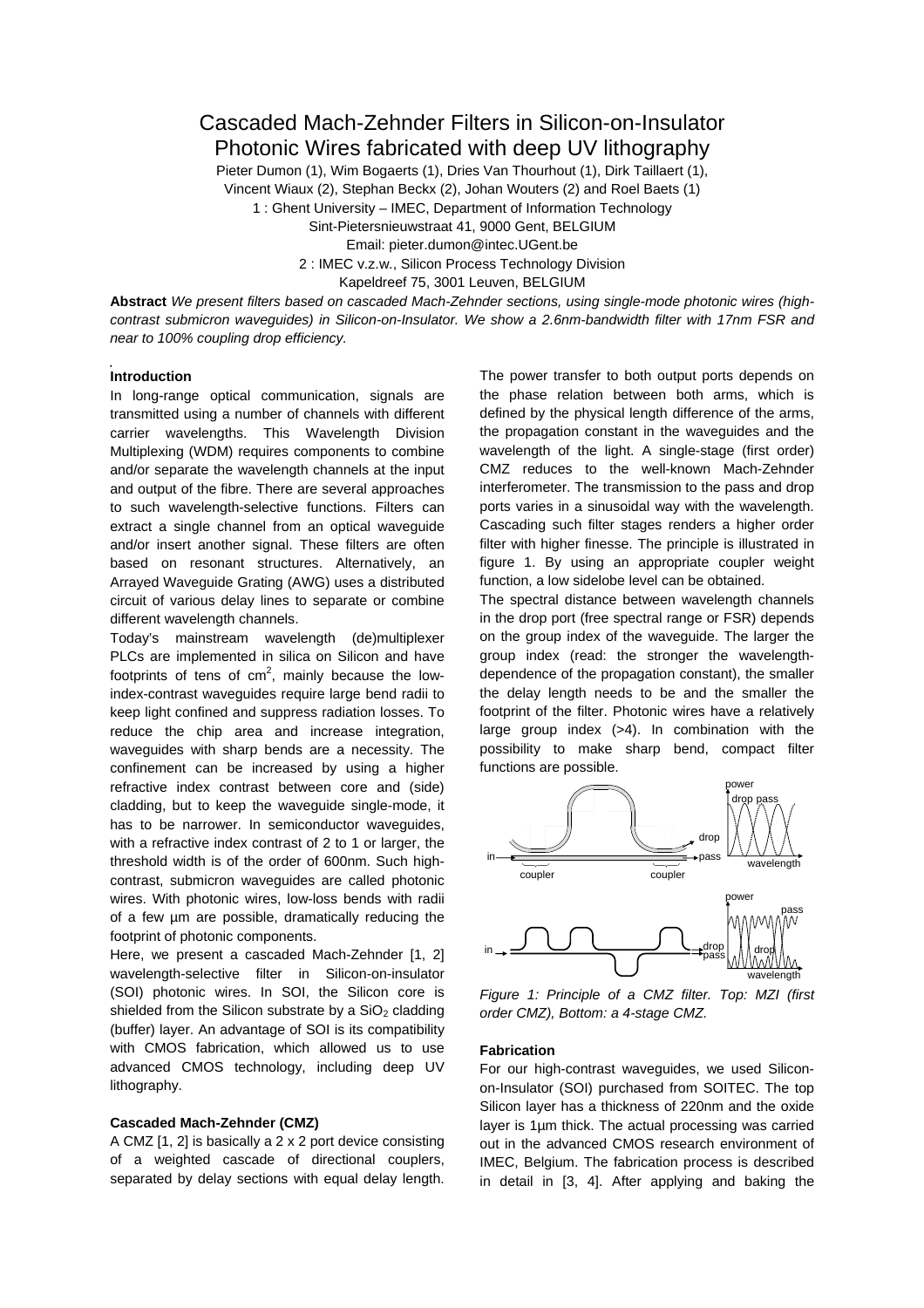# Cascaded Mach-Zehnder Filters in Silicon-on-Insulator Photonic Wires fabricated with deep UV lithography

Pieter Dumon (1), Wim Bogaerts (1), Dries Van Thourhout (1), Dirk Taillaert (1),

Vincent Wiaux (2), Stephan Beckx (2), Johan Wouters (2) and Roel Baets (1)

1 : Ghent University – IMEC, Department of Information Technology

Sint-Pietersnieuwstraat 41, 9000 Gent, BELGIUM

Email: pieter.dumon@intec.UGent.be

2 : IMEC v.z.w., Silicon Process Technology Division

Kapeldreef 75, 3001 Leuven, BELGIUM

**Abstract** *We present filters based on cascaded Mach-Zehnder sections, using single-mode photonic wires (highcontrast submicron waveguides) in Silicon-on-Insulator. We show a 2.6nm-bandwidth filter with 17nm FSR and near to 100% coupling drop efficiency.* 

### **Introduction**

In long-range optical communication, signals are transmitted using a number of channels with different carrier wavelengths. This Wavelength Division Multiplexing (WDM) requires components to combine and/or separate the wavelength channels at the input and output of the fibre. There are several approaches to such wavelength-selective functions. Filters can extract a single channel from an optical waveguide and/or insert another signal. These filters are often based on resonant structures. Alternatively, an Arrayed Waveguide Grating (AWG) uses a distributed circuit of various delay lines to separate or combine different wavelength channels.

Today's mainstream wavelength (de)multiplexer PLCs are implemented in silica on Silicon and have footprints of tens of  $cm<sup>2</sup>$ , mainly because the lowindex-contrast waveguides require large bend radii to keep light confined and suppress radiation losses. To reduce the chip area and increase integration, waveguides with sharp bends are a necessity. The confinement can be increased by using a higher refractive index contrast between core and (side) cladding, but to keep the waveguide single-mode, it has to be narrower. In semiconductor waveguides, with a refractive index contrast of 2 to 1 or larger, the threshold width is of the order of 600nm. Such highcontrast, submicron waveguides are called photonic wires. With photonic wires, low-loss bends with radii of a few µm are possible, dramatically reducing the footprint of photonic components.

Here, we present a cascaded Mach-Zehnder [1, 2] wavelength-selective filter in Silicon-on-insulator (SOI) photonic wires. In SOI, the Silicon core is shielded from the Silicon substrate by a  $SiO<sub>2</sub>$  cladding (buffer) layer. An advantage of SOI is its compatibility with CMOS fabrication, which allowed us to use advanced CMOS technology, including deep UV lithography.

# **Cascaded Mach-Zehnder (CMZ)**

A CMZ [1, 2] is basically a 2 x 2 port device consisting of a weighted cascade of directional couplers, separated by delay sections with equal delay length. The power transfer to both output ports depends on the phase relation between both arms, which is defined by the physical length difference of the arms, the propagation constant in the waveguides and the wavelength of the light. A single-stage (first order) CMZ reduces to the well-known Mach-Zehnder interferometer. The transmission to the pass and drop ports varies in a sinusoidal way with the wavelength. Cascading such filter stages renders a higher order filter with higher finesse. The principle is illustrated in figure 1. By using an appropriate coupler weight function, a low sidelobe level can be obtained.

The spectral distance between wavelength channels in the drop port (free spectral range or FSR) depends on the group index of the waveguide. The larger the group index (read: the stronger the wavelengthdependence of the propagation constant), the smaller the delay length needs to be and the smaller the footprint of the filter. Photonic wires have a relatively large group index (>4). In combination with the possibility to make sharp bend, compact filter functions are possible.



*Figure 1: Principle of a CMZ filter. Top: MZI (first order CMZ), Bottom: a 4-stage CMZ.* 

### **Fabrication**

For our high-contrast waveguides, we used Siliconon-Insulator (SOI) purchased from SOITEC. The top Silicon layer has a thickness of 220nm and the oxide layer is 1µm thick. The actual processing was carried out in the advanced CMOS research environment of IMEC, Belgium. The fabrication process is described in detail in [3, 4]. After applying and baking the